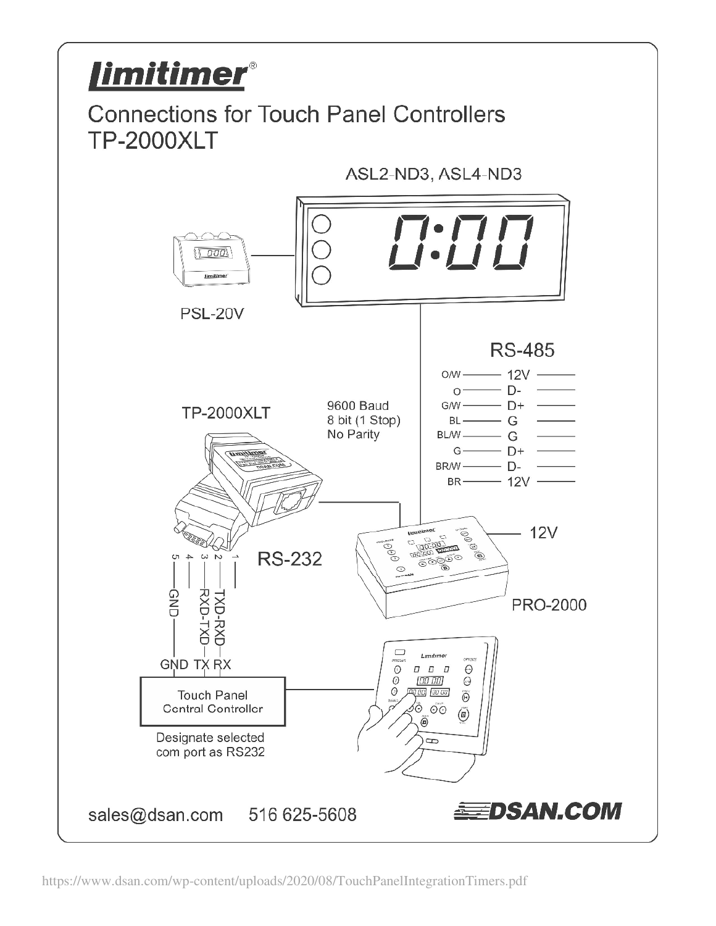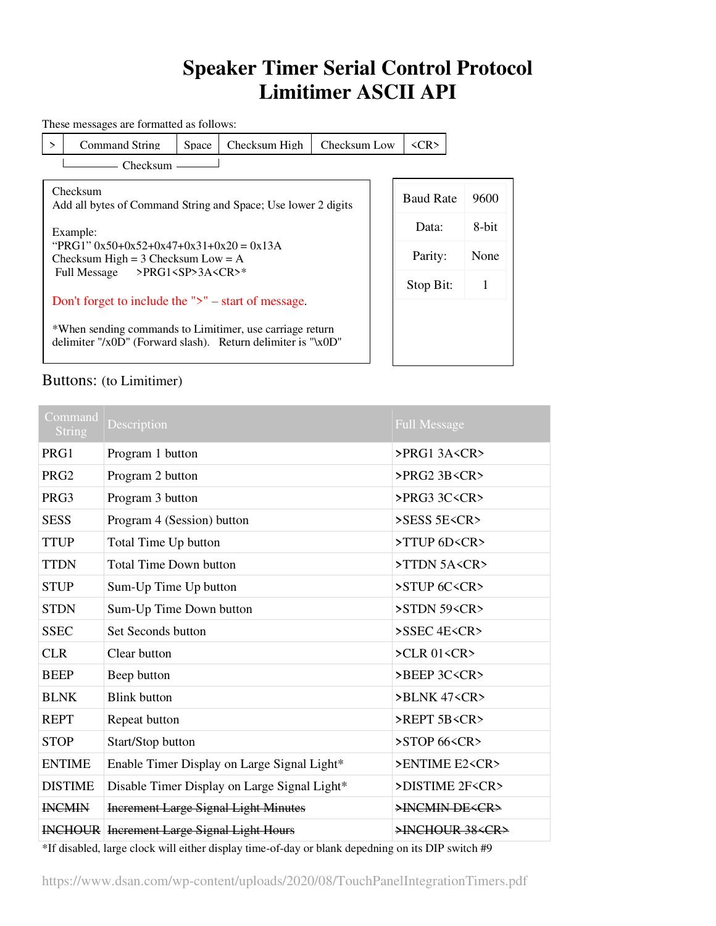## **Speaker Timer Serial Control Protocol Limitimer ASCII API**

These messages are formatted as follows:

> Command String Space | Checksum High | Checksum Low | <CR>

×.

- Checksum -

Checksum

I

Baud Rate 9600 Data: 8-bit Parity: None Stop Bit: 1

Add all bytes of Command String and Space; Use lower 2 digits Example: "PRG1"  $0x50+0x52+0x47+0x31+0x20 = 0x13A$ Checksum High =  $3$  Checksum Low =  $A$ Full Message >PRG1<SP>3A<CR>\*

Don't forget to include the ">" – start of message.

\*When sending commands to Limitimer, use carriage return delimiter "/x0D" (Forward slash). Return delimiter is "\x0D"

## Buttons: (to Limitimer)

| Command<br><b>String</b> | Description                                       | <b>Full Message</b>                     |
|--------------------------|---------------------------------------------------|-----------------------------------------|
| PRG1                     | Program 1 button                                  | PRG13A <cr< td=""></cr<>                |
| PRG <sub>2</sub>         | Program 2 button                                  | $>$ PRG2 3B <cr<math>&gt;</cr<math>     |
| PRG3                     | Program 3 button                                  | PRG33CC <sub>CP</sub>                   |
| <b>SESS</b>              | Program 4 (Session) button                        | $>$ SESS 5E $\leq$ CR $>$               |
| <b>TTUP</b>              | Total Time Up button                              | >TTUP 6D <cr></cr>                      |
| <b>TTDN</b>              | <b>Total Time Down button</b>                     | >TTDN 5A <cr></cr>                      |
| <b>STUP</b>              | Sum-Up Time Up button                             | >STUP 6C <cr></cr>                      |
| <b>STDN</b>              | Sum-Up Time Down button                           | >STDN 59 <cr></cr>                      |
| <b>SSEC</b>              | Set Seconds button                                | >SSEC 4E <cr></cr>                      |
| <b>CLR</b>               | Clear button                                      | $\angle$ CLR 01 <cr<math>&gt;</cr<math> |
| <b>BEEP</b>              | Beep button                                       | >BEEP 3C <cr></cr>                      |
| <b>BLNK</b>              | <b>Blink button</b>                               | >BLNK 47 <cr></cr>                      |
| <b>REPT</b>              | Repeat button                                     | >REPT 5B <cr></cr>                      |
| <b>STOP</b>              | Start/Stop button                                 | $>$ STOP 66 $\leq$ CR $>$               |
| <b>ENTIME</b>            | Enable Timer Display on Large Signal Light*       | >ENTIME E2 <cr></cr>                    |
| <b>DISTIME</b>           | Disable Timer Display on Large Signal Light*      | >DISTIME 2F <cr></cr>                   |
| <b>INCMIN</b>            | <b>Increment Large Signal Light Minutes</b>       | >INCMIN DE <cr></cr>                    |
|                          | <b>INCHOUR</b> Increment Large Signal Light Hours | >INCHOUR 38 <cr></cr>                   |

\*If disabled, large clock will either display time-of-day or blank depedning on its DIP switch #9

https://www.dsan.com/wp-content/uploads/2020/08/TouchPanelIntegrationTimers.pdf